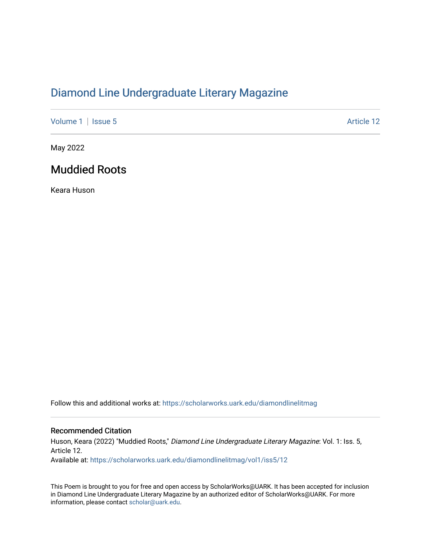## [Diamond Line Undergraduate Literary Magazine](https://scholarworks.uark.edu/diamondlinelitmag)

[Volume 1](https://scholarworks.uark.edu/diamondlinelitmag/vol1) | [Issue 5](https://scholarworks.uark.edu/diamondlinelitmag/vol1/iss5) Article 12

May 2022

## Muddied Roots

Keara Huson

Follow this and additional works at: [https://scholarworks.uark.edu/diamondlinelitmag](https://scholarworks.uark.edu/diamondlinelitmag?utm_source=scholarworks.uark.edu%2Fdiamondlinelitmag%2Fvol1%2Fiss5%2F12&utm_medium=PDF&utm_campaign=PDFCoverPages) 

## Recommended Citation

Huson, Keara (2022) "Muddied Roots," Diamond Line Undergraduate Literary Magazine: Vol. 1: Iss. 5, Article 12. Available at: [https://scholarworks.uark.edu/diamondlinelitmag/vol1/iss5/12](https://scholarworks.uark.edu/diamondlinelitmag/vol1/iss5/12?utm_source=scholarworks.uark.edu%2Fdiamondlinelitmag%2Fvol1%2Fiss5%2F12&utm_medium=PDF&utm_campaign=PDFCoverPages) 

This Poem is brought to you for free and open access by ScholarWorks@UARK. It has been accepted for inclusion in Diamond Line Undergraduate Literary Magazine by an authorized editor of ScholarWorks@UARK. For more information, please contact [scholar@uark.edu.](mailto:scholar@uark.edu)